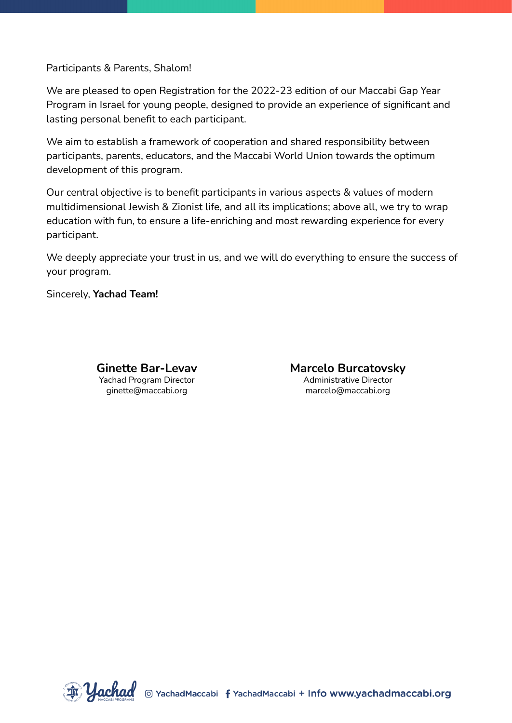Participants & Parents, Shalom!

We are pleased to open Registration for the 2022-23 edition of our Maccabi Gap Year Program in Israel for young people, designed to provide an experience of significant and lasting personal benefit to each participant.

We aim to establish a framework of cooperation and shared responsibility between participants, parents, educators, and the Maccabi World Union towards the optimum development of this program.

Our central objective is to benefit participants in various aspects & values of modern multidimensional Jewish & Zionist life, and all its implications; above all, we try to wrap education with fun, to ensure a life-enriching and most rewarding experience for every participant.

We deeply appreciate your trust in us, and we will do everything to ensure the success of your program.

Sincerely, **Yachad Team!**



**Marcelo Burcatovsky** Administrative Director marcelo@maccabi.org

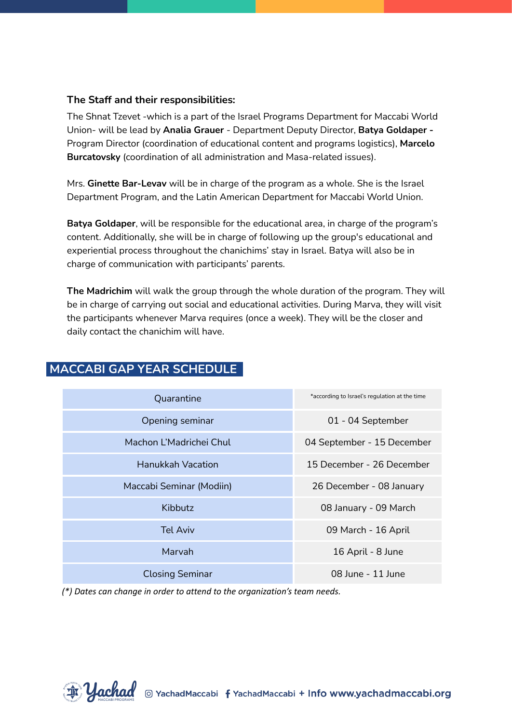#### **The Staff and their responsibilities:**

The Shnat Tzevet -which is a part of the Israel Programs Department for Maccabi World Union- will be lead by **Analia Grauer** - Department Deputy Director, **Batya Goldaper -** Program Director (coordination of educational content and programs logistics), **Marcelo Burcatovsky** (coordination of all administration and Masa-related issues).

Mrs. **Ginette Bar-Levav** will be in charge of the program as a whole. She is the Israel Department Program, and the Latin American Department for Maccabi World Union.

**Batya Goldaper**, will be responsible for the educational area, in charge of the program's content. Additionally, she will be in charge of following up the group's educational and experiential process throughout the chanichims' stay in Israel. Batya will also be in charge of communication with participants' parents.

**The Madrichim** will walk the group through the whole duration of the program. They will be in charge of carrying out social and educational activities. During Marva, they will visit the participants whenever Marva requires (once a week). They will be the closer and daily contact the chanichim will have.

| *according to Israel's regulation at the time |
|-----------------------------------------------|
| 01 - 04 September                             |
| 04 September - 15 December                    |
| 15 December - 26 December                     |
| 26 December - 08 January                      |
| 08 January - 09 March                         |
| 09 March - 16 April                           |
| 16 April - 8 June                             |
| 08 June - 11 June                             |
|                                               |

# **MACCABI GAP YEAR SCHEDULE .**

*(\*) Dates can change in order to attend to the organization's team needs.*

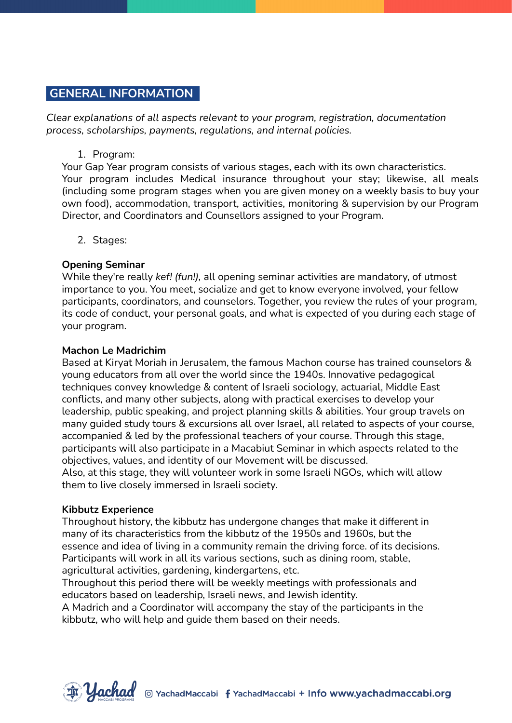### **GENERAL INFORMATION .**

*Clear explanations of all aspects relevant to your program, registration, documentation process, scholarships, payments, regulations, and internal policies.*

#### 1. Program:

Your Gap Year program consists of various stages, each with its own characteristics. Your program includes Medical insurance throughout your stay; likewise, all meals (including some program stages when you are given money on a weekly basis to buy your own food), accommodation, transport, activities, monitoring & supervision by our Program Director, and Coordinators and Counsellors assigned to your Program.

2. Stages:

### **Opening Seminar**

While they're really *kef! (fun!),* all opening seminar activities are mandatory, of utmost importance to you. You meet, socialize and get to know everyone involved, your fellow participants, coordinators, and counselors. Together, you review the rules of your program, its code of conduct, your personal goals, and what is expected of you during each stage of your program.

#### **Machon Le Madrichim**

Based at Kiryat Moriah in Jerusalem, the famous Machon course has trained counselors & young educators from all over the world since the 1940s. Innovative pedagogical techniques convey knowledge & content of Israeli sociology, actuarial, Middle East conflicts, and many other subjects, along with practical exercises to develop your leadership, public speaking, and project planning skills & abilities. Your group travels on many guided study tours & excursions all over Israel, all related to aspects of your course, accompanied & led by the professional teachers of your course. Through this stage, participants will also participate in a Macabiut Seminar in which aspects related to the objectives, values, and identity of our Movement will be discussed. Also, at this stage, they will volunteer work in some Israeli NGOs, which will allow them to live closely immersed in Israeli society.

### **Kibbutz Experience**

Throughout history, the kibbutz has undergone changes that make it different in many of its characteristics from the kibbutz of the 1950s and 1960s, but the essence and idea of living in a community remain the driving force. of its decisions. Participants will work in all its various sections, such as dining room, stable, agricultural activities, gardening, kindergartens, etc.

Throughout this period there will be weekly meetings with professionals and educators based on leadership, Israeli news, and Jewish identity.

A Madrich and a Coordinator will accompany the stay of the participants in the kibbutz, who will help and guide them based on their needs.

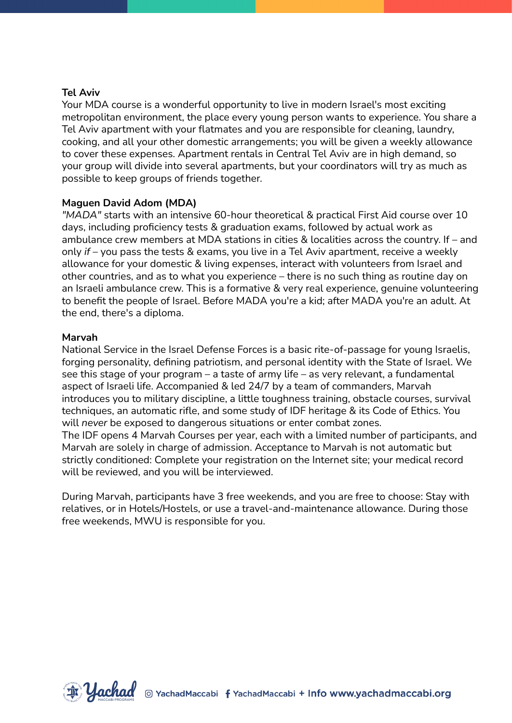### **Tel Aviv**

Your MDA course is a wonderful opportunity to live in modern Israel's most exciting metropolitan environment, the place every young person wants to experience. You share a Tel Aviv apartment with your flatmates and you are responsible for cleaning, laundry, cooking, and all your other domestic arrangements; you will be given a weekly allowance to cover these expenses. Apartment rentals in Central Tel Aviv are in high demand, so your group will divide into several apartments, but your coordinators will try as much as possible to keep groups of friends together.

#### **Maguen David Adom (MDA)**

*"MADA"* starts with an intensive 60-hour theoretical & practical First Aid course over 10 days, including proficiency tests & graduation exams, followed by actual work as ambulance crew members at MDA stations in cities & localities across the country. If – and only *if* – you pass the tests & exams, you live in a Tel Aviv apartment, receive a weekly allowance for your domestic & living expenses, interact with volunteers from Israel and other countries, and as to what you experience – there is no such thing as routine day on an Israeli ambulance crew. This is a formative & very real experience, genuine volunteering to benefit the people of Israel. Before MADA you're a kid; after MADA you're an adult. At the end, there's a diploma.

#### **Marvah**

National Service in the Israel Defense Forces is a basic rite-of-passage for young Israelis, forging personality, defining patriotism, and personal identity with the State of Israel. We see this stage of your program – a taste of army life – as very relevant, a fundamental aspect of Israeli life. Accompanied & led 24/7 by a team of commanders, Marvah introduces you to military discipline, a little toughness training, obstacle courses, survival techniques, an automatic rifle, and some study of IDF heritage & its Code of Ethics. You will *never* be exposed to dangerous situations or enter combat zones.

The IDF opens 4 Marvah Courses per year, each with a limited number of participants, and Marvah are solely in charge of admission. Acceptance to Marvah is not automatic but strictly conditioned: Complete your registration on the Internet site; your medical record will be reviewed, and you will be interviewed.

During Marvah, participants have 3 free weekends, and you are free to choose: Stay with relatives, or in Hotels/Hostels, or use a travel-and-maintenance allowance. During those free weekends, MWU is responsible for you.

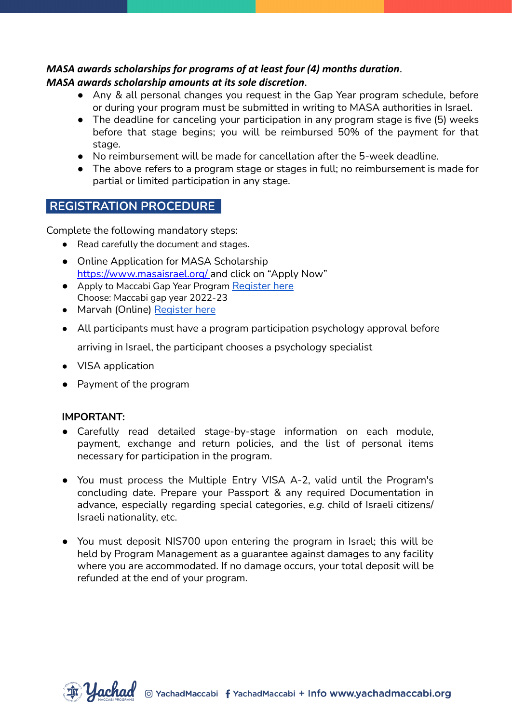### *MASA awards scholarships for programs of at least four (4) months duration*. *MASA awards scholarship amounts at its sole discretion*.

- Any & all personal changes you request in the Gap Year program schedule, before or during your program must be submitted in writing to MASA authorities in Israel.
- The deadline for canceling your participation in any program stage is five (5) weeks before that stage begins; you will be reimbursed 50% of the payment for that stage.
- No reimbursement will be made for cancellation after the 5-week deadline.
- The above refers to a program stage or stages in full; no reimbursement is made for partial or limited participation in any stage.

# **REGISTRATION PROCEDURE .**

Complete the following mandatory steps:

- Read carefully the document and stages.
- Online Application for MASA Scholarship <https://www.masaisrael.org/> and click on "Apply Now"
- Apply to Maccabi Gap Year Program [Register](https://israelexperience.secure.force.com/REG_SelectExperience?exptype=Shnat%20Macabi&lang=en) here Choose: Maccabi gap year 2022-23
- Marvah (Online) [Register](https://israelexperience.secure.force.com/REG_SelectExperience?exptype=Marva%20-%20Movements%20and%20Programs&lang=en) here
- All participants must have a program participation psychology approval before

arriving in Israel, the participant chooses a psychology specialist

- VISA application
- Payment of the program

### **IMPORTANT:**

- Carefully read detailed stage-by-stage information on each module, payment, exchange and return policies, and the list of personal items necessary for participation in the program.
- You must process the Multiple Entry VISA A-2, valid until the Program's concluding date. Prepare your Passport & any required Documentation in advance, especially regarding special categories, *e.g.* child of Israeli citizens/ Israeli nationality, etc.
- You must deposit NIS700 upon entering the program in Israel; this will be held by Program Management as a guarantee against damages to any facility where you are accommodated. If no damage occurs, your total deposit will be refunded at the end of your program.

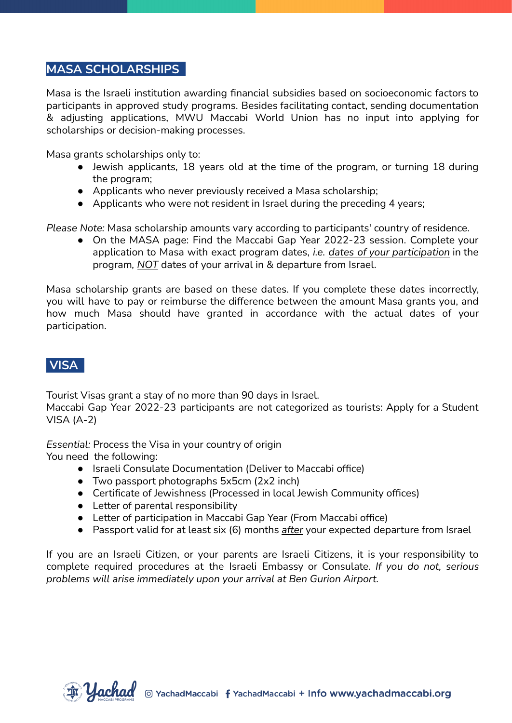### **MASA SCHOLARSHIPS .**

Masa is the Israeli institution awarding financial subsidies based on socioeconomic factors to participants in approved study programs. Besides facilitating contact, sending documentation & adjusting applications, MWU Maccabi World Union has no input into applying for scholarships or decision-making processes.

Masa grants scholarships only to:

- Jewish applicants, 18 years old at the time of the program, or turning 18 during the program;
- Applicants who never previously received a Masa scholarship;
- Applicants who were not resident in Israel during the preceding 4 years;

*Please Note:* Masa scholarship amounts vary according to participants' country of residence.

● On the MASA page: Find the Maccabi Gap Year 2022-23 session. Complete your application to Masa with exact program dates, *i.e. dates of your participation* in the program*, NOT* dates of your arrival in & departure from Israel.

Masa scholarship grants are based on these dates. If you complete these dates incorrectly, you will have to pay or reimburse the difference between the amount Masa grants you, and how much Masa should have granted in accordance with the actual dates of your participation.

# **VISA .**

Tourist Visas grant a stay of no more than 90 days in Israel.

Maccabi Gap Year 2022-23 participants are not categorized as tourists: Apply for a Student VISA (A-2)

*Essential:* Process the Visa in your country of origin

You need the following:

- Israeli Consulate Documentation (Deliver to Maccabi office)
- Two passport photographs 5x5cm (2x2 inch)
- Certificate of Jewishness (Processed in local Jewish Community offices)
- Letter of parental responsibility
- Letter of participation in Maccabi Gap Year (From Maccabi office)
- Passport valid for at least six (6) months *after* your expected departure from Israel

If you are an Israeli Citizen, or your parents are Israeli Citizens, it is your responsibility to complete required procedures at the Israeli Embassy or Consulate. *If you do not, serious problems will arise immediately upon your arrival at Ben Gurion Airport.*

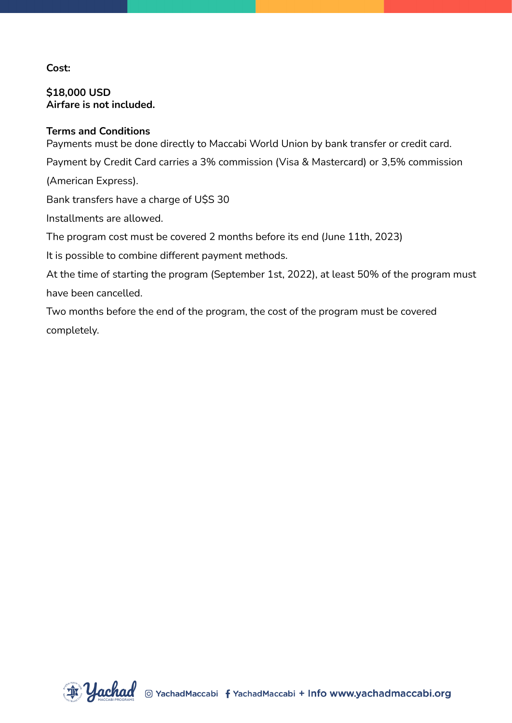### **Cost:**

**\$18,000 USD Airfare is not included.**

### **Terms and Conditions**

Payments must be done directly to Maccabi World Union by bank transfer or credit card.

Payment by Credit Card carries a 3% commission (Visa & Mastercard) or 3,5% commission

(American Express).

Bank transfers have a charge of U\$S 30

Installments are allowed.

The program cost must be covered 2 months before its end (June 11th, 2023)

It is possible to combine different payment methods.

At the time of starting the program (September 1st, 2022), at least 50% of the program must have been cancelled.

Two months before the end of the program, the cost of the program must be covered completely.